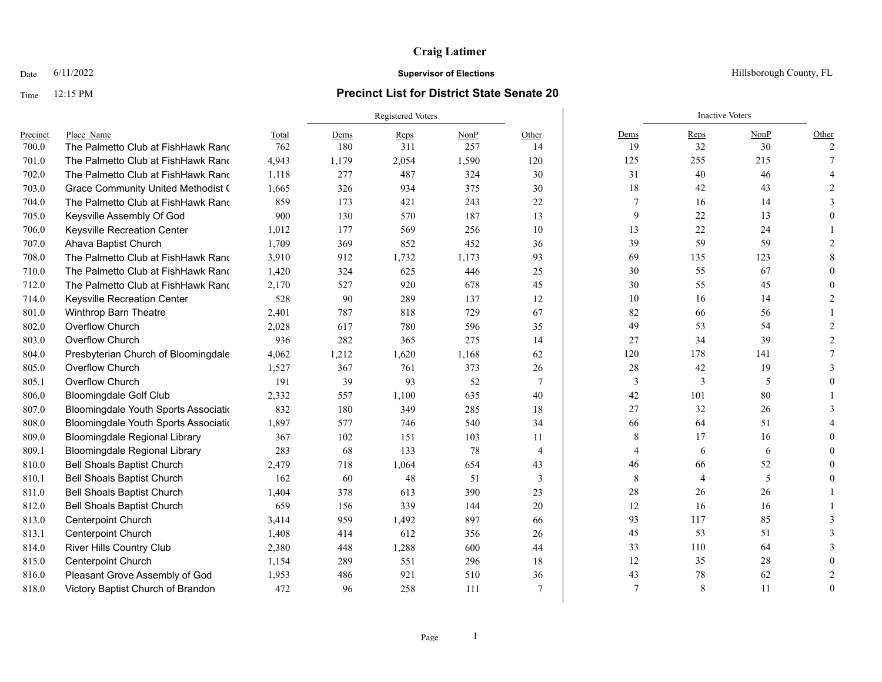### Time 12:15 PM **Precinct List for District State Senate 20**

|          |                                           |       | <b>Registered Voters</b> |       |       |                 |                | <b>Inactive Voters</b> |      |               |
|----------|-------------------------------------------|-------|--------------------------|-------|-------|-----------------|----------------|------------------------|------|---------------|
| Precinct | Place Name                                | Total | Dems                     | Reps  | NonP  | Other           | Dems           | Reps                   | NonP | Other         |
| 700.0    | The Palmetto Club at FishHawk Rand        | 762   | 180                      | 311   | 257   | 14              | 19             | 32                     | 30   | $\mathcal{P}$ |
| 701.0    | The Palmetto Club at FishHawk Rand        | 4,943 | 1,179                    | 2,054 | 1,590 | 120             | 125            | 255                    | 215  |               |
| 702.0    | The Palmetto Club at FishHawk Rand        | 1,118 | 277                      | 487   | 324   | 30              | 31             | 40                     | 46   |               |
| 703.0    | <b>Grace Community United Methodist (</b> | 1,665 | 326                      | 934   | 375   | 30              | 18             | 42                     | 43   |               |
| 704.0    | The Palmetto Club at FishHawk Rand        | 859   | 173                      | 421   | 243   | 22              | 7              | 16                     | 14   |               |
| 705.0    | Keysville Assembly Of God                 | 900   | 130                      | 570   | 187   | 13              | 9              | 22                     | 13   |               |
| 706.0    | Keysville Recreation Center               | 1,012 | 177                      | 569   | 256   | 10              | 13             | 22                     | 24   |               |
| 707.0    | Ahava Baptist Church                      | 1,709 | 369                      | 852   | 452   | 36              | 39             | 59                     | 59   |               |
| 708.0    | The Palmetto Club at FishHawk Rand        | 3,910 | 912                      | 1,732 | 1,173 | 93              | 69             | 135                    | 123  |               |
| 710.0    | The Palmetto Club at FishHawk Rand        | 1,420 | 324                      | 625   | 446   | 25              | 30             | 55                     | 67   |               |
| 712.0    | The Palmetto Club at FishHawk Rand        | 2,170 | 527                      | 920   | 678   | 45              | 30             | 55                     | 45   |               |
| 714.0    | Keysville Recreation Center               | 528   | 90                       | 289   | 137   | 12              | 10             | 16                     | 14   |               |
| 801.0    | Winthrop Barn Theatre                     | 2,401 | 787                      | 818   | 729   | 67              | 82             | 66                     | 56   |               |
| 802.0    | Overflow Church                           | 2,028 | 617                      | 780   | 596   | 35              | 49             | 53                     | 54   |               |
| 803.0    | Overflow Church                           | 936   | 282                      | 365   | 275   | 14              | 27             | 34                     | 39   |               |
| 804.0    | Presbyterian Church of Bloomingdale       | 4,062 | 1,212                    | 1,620 | 1,168 | 62              | 120            | 178                    | 141  |               |
| 805.0    | Overflow Church                           | 1,527 | 367                      | 761   | 373   | 26              | 28             | 42                     | 19   |               |
| 805.1    | Overflow Church                           | 191   | 39                       | 93    | 52    | $7\phantom{.0}$ | 3              | 3                      | 5    |               |
| 806.0    | <b>Bloomingdale Golf Club</b>             | 2,332 | 557                      | 1,100 | 635   | 40              | 42             | 101                    | 80   |               |
| 807.0    | Bloomingdale Youth Sports Associatio      | 832   | 180                      | 349   | 285   | 18              | 27             | 32                     | 26   |               |
| 808.0    | Bloomingdale Youth Sports Associatio      | 1,897 | 577                      | 746   | 540   | 34              | 66             | 64                     | 51   |               |
| 809.0    | <b>Bloomingdale Regional Library</b>      | 367   | 102                      | 151   | 103   | 11              | 8              | 17                     | 16   |               |
| 809.1    | <b>Bloomingdale Regional Library</b>      | 283   | 68                       | 133   | 78    | $\overline{4}$  | $\overline{4}$ | 6                      | 6    |               |
| 810.0    | <b>Bell Shoals Baptist Church</b>         | 2,479 | 718                      | 1,064 | 654   | 43              | 46             | 66                     | 52   |               |
| 810.1    | <b>Bell Shoals Baptist Church</b>         | 162   | 60                       | 48    | 51    | 3               | 8              | $\overline{4}$         | 5    |               |
| 811.0    | <b>Bell Shoals Baptist Church</b>         | 1,404 | 378                      | 613   | 390   | 23              | $28\,$         | 26                     | 26   |               |
| 812.0    | <b>Bell Shoals Baptist Church</b>         | 659   | 156                      | 339   | 144   | 20              | 12             | 16                     | 16   |               |
| 813.0    | Centerpoint Church                        | 3,414 | 959                      | 1,492 | 897   | 66              | 93             | 117                    | 85   |               |
| 813.1    | <b>Centerpoint Church</b>                 | 1,408 | 414                      | 612   | 356   | 26              | 45             | 53                     | 51   |               |
| 814.0    | <b>River Hills Country Club</b>           | 2,380 | 448                      | 1,288 | 600   | 44              | 33             | 110                    | 64   |               |
| 815.0    | <b>Centerpoint Church</b>                 | 1,154 | 289                      | 551   | 296   | 18              | 12             | 35                     | 28   |               |
| 816.0    | Pleasant Grove Assembly of God            | 1,953 | 486                      | 921   | 510   | 36              | 43             | 78                     | 62   |               |
| 818.0    | Victory Baptist Church of Brandon         | 472   | 96                       | 258   | 111   | $\overline{7}$  | $\overline{7}$ | 8                      | 11   |               |

Date  $6/11/2022$  Hillsborough County, FL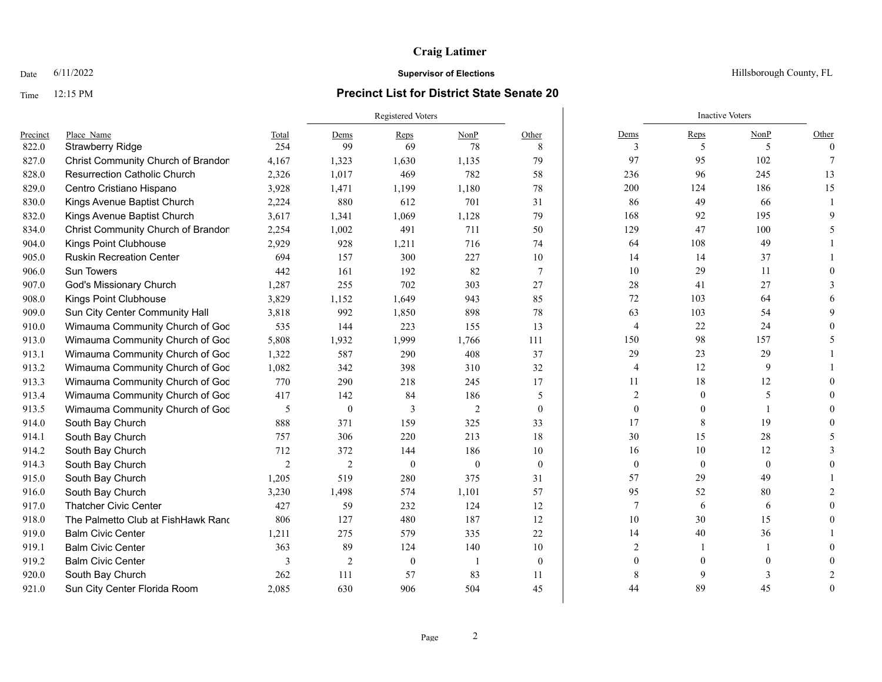### Time 12:15 PM **Precinct List for District State Senate 20**

|          |                                     |                | <b>Registered Voters</b> |          |              |                  | <b>Inactive Voters</b> |                  |          |          |  |
|----------|-------------------------------------|----------------|--------------------------|----------|--------------|------------------|------------------------|------------------|----------|----------|--|
| Precinct | Place Name                          | Total          | Dems                     | Reps     | NonP         | Other            | Dems                   | Reps             | NonP     | Other    |  |
| 822.0    | Strawberry Ridge                    | 254            | 99                       | 69       | 78           | 8                | 3                      | 5                | 5        | $\Omega$ |  |
| 827.0    | Christ Community Church of Brandon  | 4,167          | 1,323                    | 1,630    | 1,135        | 79               | 97                     | 95               | 102      | 7        |  |
| 828.0    | <b>Resurrection Catholic Church</b> | 2,326          | 1,017                    | 469      | 782          | 58               | 236                    | 96               | 245      | 13       |  |
| 829.0    | Centro Cristiano Hispano            | 3,928          | 1,471                    | 1,199    | 1,180        | 78               | 200                    | 124              | 186      | 15       |  |
| 830.0    | Kings Avenue Baptist Church         | 2,224          | 880                      | 612      | 701          | 31               | 86                     | 49               | 66       |          |  |
| 832.0    | Kings Avenue Baptist Church         | 3,617          | 1,341                    | 1,069    | 1,128        | 79               | 168                    | 92               | 195      |          |  |
| 834.0    | Christ Community Church of Brandon  | 2,254          | 1,002                    | 491      | 711          | 50               | 129                    | 47               | 100      |          |  |
| 904.0    | Kings Point Clubhouse               | 2,929          | 928                      | 1,211    | 716          | 74               | 64                     | 108              | 49       |          |  |
| 905.0    | <b>Ruskin Recreation Center</b>     | 694            | 157                      | 300      | 227          | 10               | 14                     | 14               | 37       |          |  |
| 906.0    | <b>Sun Towers</b>                   | 442            | 161                      | 192      | 82           | $\tau$           | 10                     | 29               | 11       |          |  |
| 907.0    | God's Missionary Church             | 1,287          | 255                      | 702      | 303          | 27               | 28                     | 41               | 27       |          |  |
| 908.0    | Kings Point Clubhouse               | 3,829          | 1,152                    | 1,649    | 943          | 85               | 72                     | 103              | 64       |          |  |
| 909.0    | Sun City Center Community Hall      | 3,818          | 992                      | 1,850    | 898          | 78               | 63                     | 103              | 54       |          |  |
| 910.0    | Wimauma Community Church of God     | 535            | 144                      | 223      | 155          | 13               | 4                      | 22               | 24       |          |  |
| 913.0    | Wimauma Community Church of God     | 5,808          | 1,932                    | 1,999    | 1,766        | 111              | 150                    | 98               | 157      |          |  |
| 913.1    | Wimauma Community Church of God     | 1,322          | 587                      | 290      | 408          | 37               | 29                     | 23               | 29       |          |  |
| 913.2    | Wimauma Community Church of God     | 1,082          | 342                      | 398      | 310          | 32               | 4                      | 12               | 9        |          |  |
| 913.3    | Wimauma Community Church of God     | 770            | 290                      | 218      | 245          | 17               | 11                     | 18               | 12       |          |  |
| 913.4    | Wimauma Community Church of God     | 417            | 142                      | 84       | 186          | 5                | $\overline{c}$         | $\mathbf{0}$     | 5        |          |  |
| 913.5    | Wimauma Community Church of God     | 5              | $\mathbf{0}$             | 3        | 2            | $\mathbf{0}$     | $\mathbf{0}$           | $\Omega$         |          |          |  |
| 914.0    | South Bay Church                    | 888            | 371                      | 159      | 325          | 33               | 17                     | 8                | 19       |          |  |
| 914.1    | South Bay Church                    | 757            | 306                      | 220      | 213          | 18               | 30                     | 15               | 28       |          |  |
| 914.2    | South Bay Church                    | 712            | 372                      | 144      | 186          | 10               | 16                     | 10               | 12       |          |  |
| 914.3    | South Bay Church                    | $\overline{2}$ | $\overline{2}$           | $\theta$ | $\mathbf{0}$ | $\mathbf{0}$     | $\mathbf{0}$           | $\boldsymbol{0}$ | $\theta$ |          |  |
| 915.0    | South Bay Church                    | 1,205          | 519                      | 280      | 375          | 31               | 57                     | 29               | 49       |          |  |
| 916.0    | South Bay Church                    | 3,230          | 1,498                    | 574      | 1,101        | 57               | 95                     | 52               | 80       |          |  |
| 917.0    | <b>Thatcher Civic Center</b>        | 427            | 59                       | 232      | 124          | 12               | $\overline{7}$         | 6                | 6        |          |  |
| 918.0    | The Palmetto Club at FishHawk Rand  | 806            | 127                      | 480      | 187          | 12               | 10                     | 30               | 15       |          |  |
| 919.0    | <b>Balm Civic Center</b>            | 1,211          | 275                      | 579      | 335          | 22               | 14                     | 40               | 36       |          |  |
| 919.1    | <b>Balm Civic Center</b>            | 363            | 89                       | 124      | 140          | 10               | $\overline{2}$         |                  |          |          |  |
| 919.2    | <b>Balm Civic Center</b>            | 3              | $\overline{2}$           | $\theta$ |              | $\boldsymbol{0}$ | 0                      | $\Omega$         |          |          |  |
| 920.0    | South Bay Church                    | 262            | 111                      | 57       | 83           | 11               |                        | $\mathbf Q$      |          |          |  |
| 921.0    | Sun City Center Florida Room        | 2,085          | 630                      | 906      | 504          | 45               | 44                     | 89               | 45       | $\Omega$ |  |

Date  $6/11/2022$  Hillsborough County, FL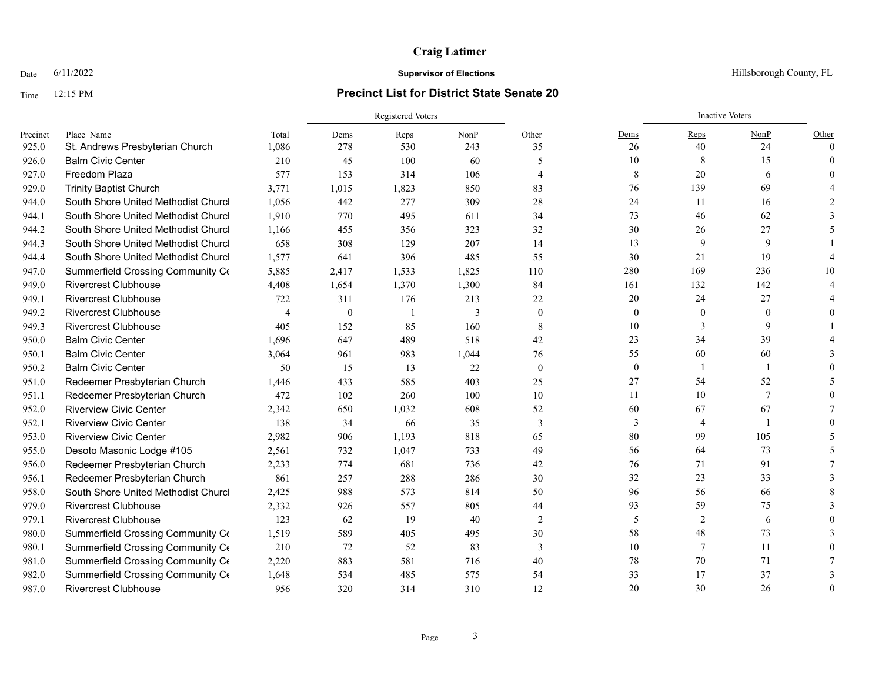### Time 12:15 PM **Precinct List for District State Senate 20**

Registered Voters **Inactive Voters** Inactive Voters **Inactive Voters** Precinct Place\_Name Total Dems Reps NonP Other Dems Reps NonP Other 925.0 St. Andrews Presbyterian Church 1,086 278 530 243 35 26 40 24 0 926.0 Balm Civic Center 210 45 100 60 5 | 10 8 15 0 927.0 Freedom Plaza 577 153 314 106 4 | 8 20 6 0 929.0 Trinity Baptist Church 3,771 1,015 1,823 850 83 76 139 69 4 944.0 South Shore United Methodist Church 1,056 442 277 309 28 24 11 16 2 944.1 South Shore United Methodist Church 1,910 770 495 611 34 73 46 62 3 944.2 South Shore United Methodist Church 1,166 455 356 323 32 30 26 27 5 944.3 South Shore United Methodist Churcl 658 308 129 207 14 13 9 9 9 1 944.4 South Shore United Methodist Churcl 1,577 641 396 485 55 30 21 19 4 947.0 Summerfield Crossing Community C $\epsilon$  5,885 2,417 1,533 1,825 110 280 169 236 10 949.0 Rivercrest Clubhouse  $\begin{array}{cccc} 4.408 & 1.654 & 1.370 & 1.300 & 84 \end{array}$  161 132 142 4 949.1 Rivercrest Clubhouse 722 311 176 213 22 20 24 27 4 949.2 Rivercrest Clubhouse 4 0 1 3 0 0 0 0 0 949.3 Rivercrest Clubhouse 405 152 85 160 8 10 3 9 1 950.0 Balm Civic Center 1,696 647 489 518 42 | 23 34 39 4 950.1 Balm Civic Center 3,064 961 983 1,044 76 | 55 60 60 3 950.2 Balm Civic Center 50 15 13 22 0 0 1 1 0 951.0 Redeemer Presbyterian Church 1,446 433 585 403 25 27 54 52 52 5 951.1 Redeemer Presbyterian Church 472 102 260 100 10 11 10 7 0 952.0 Riverview Civic Center  $2.342$  650  $1.032$  608 52 60 67 67 67 7 952.1 Riverview Civic Center 138 34 66 35 3 3 3 4 1 0 953.0 Riverview Civic Center  $2.982$  906 1,193 818 65 80 99 105 5 955.0 Desoto Masonic Lodge #105 2,561 732 1,047 733 49 56 64 73 5 956.0 Redeemer Presbyterian Church 2.233 774 681 736 42 76 71 91 7 956.1 Redeemer Presbyterian Church 861 257 288 286 30 32 23 33 33 958.0 South Shore United Methodist Church 2,425 988 573 814 50 96 56 66 8 979.0 Rivercrest Clubhouse 2,332 926 557 805 44 59 75 3 979.1 Rivercrest Clubhouse 123 62 19 40 2 5 2 6 0 980.0 Summerfield Crossing Community C $\epsilon$  1.519 589 405 495 30 58 58 48 73 3 980.1 Summerfield Crossing Community C $\epsilon$  210 72 52 83 3 10 10 7 11 0 981.0 Summerfield Crossing Community C $\epsilon$  2,220 883 581 716 40 78 78 70 71 7 982.0 Summerfield Crossing Community C $\epsilon$  1,648 534 485 575 54 33 17 37 3 987.0 Rivercrest Clubhouse 956 320 314 310 12 | 20 30 26 0

**Date** 6/11/2022 **Supervisor of Elections Supervisor of Elections** Hillsborough County, FL